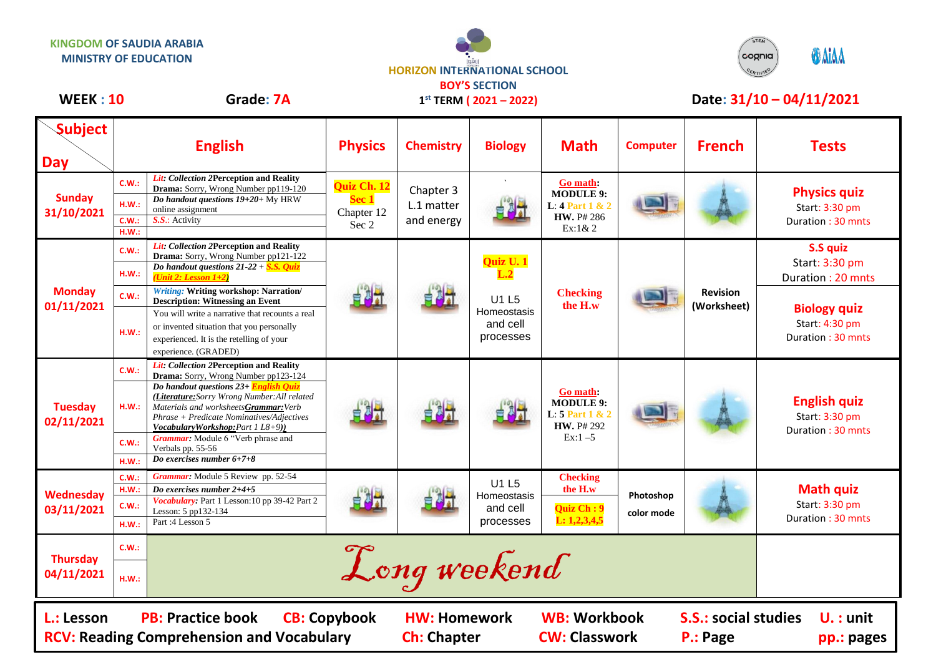



## WEEK : 10 Grade: 7A 1<sup>st</sup> TERM (2021 – 2022) Date: 31/10 – 04/11/2021

**1 st TERM ( 2021 – 2022)**

| <b>Subject</b><br><b>Day</b>                                                                                                                                                                                                                                                          | <b>English</b>                   |                                                                                                                                                                                                                                                                                                                                                                                                                                     | <b>Physics</b>                              | <b>Chemistry</b>                      | <b>Biology</b>                                | <b>Math</b>                                                                               | <b>Computer</b>         | <b>French</b>                  | <b>Tests</b>                                               |
|---------------------------------------------------------------------------------------------------------------------------------------------------------------------------------------------------------------------------------------------------------------------------------------|----------------------------------|-------------------------------------------------------------------------------------------------------------------------------------------------------------------------------------------------------------------------------------------------------------------------------------------------------------------------------------------------------------------------------------------------------------------------------------|---------------------------------------------|---------------------------------------|-----------------------------------------------|-------------------------------------------------------------------------------------------|-------------------------|--------------------------------|------------------------------------------------------------|
| <b>Sunday</b><br>31/10/2021                                                                                                                                                                                                                                                           | C.W.:<br>H.W.:<br>C.W.:<br>H.W.: | Lit: Collection 2Perception and Reality<br>Drama: Sorry, Wrong Number pp119-120<br>Do handout questions $19+20+$ My HRW<br>online assignment<br>S.S.: Activity                                                                                                                                                                                                                                                                      | Quiz Ch. 12<br>Sec 1<br>Chapter 12<br>Sec 2 | Chapter 3<br>L.1 matter<br>and energy |                                               | Go math:<br><b>MODULE 9:</b><br><b>L:</b> 4 Part 1 & 2<br><b>HW.</b> P# 286<br>$Ex:1\& 2$ |                         |                                | <b>Physics quiz</b><br>Start: 3:30 pm<br>Duration: 30 mnts |
| <b>Monday</b><br>01/11/2021                                                                                                                                                                                                                                                           | C.W.:<br>H.W.:                   | <b>Lit:</b> Collection 2Perception and Reality<br>Drama: Sorry, Wrong Number pp121-122<br>Do handout questions $21-22 + S.S.$ <i>Quiz</i><br>(Unit 2: Lesson $1+2$ )<br><b>Writing: Writing workshop: Narration/</b><br><b>Description: Witnessing an Event</b><br>You will write a narrative that recounts a real<br>or invented situation that you personally<br>experienced. It is the retelling of your<br>experience. (GRADED) |                                             |                                       | Quiz U. 1<br>L.2                              | <b>Checking</b><br>the H.w                                                                |                         | <b>Revision</b><br>(Worksheet) | S.S quiz<br>Start: 3:30 pm<br>Duration: 20 mnts            |
|                                                                                                                                                                                                                                                                                       | C.W.:<br>H.W.:                   |                                                                                                                                                                                                                                                                                                                                                                                                                                     |                                             |                                       | U1 L5<br>Homeostasis<br>and cell<br>processes |                                                                                           |                         |                                | <b>Biology quiz</b><br>Start: 4:30 pm<br>Duration: 30 mnts |
| <b>Tuesday</b><br>02/11/2021                                                                                                                                                                                                                                                          | C.W.:<br>HM.:<br>C.W.:<br>H.W.:  | Lit: Collection 2Perception and Reality<br>Drama: Sorry, Wrong Number pp123-124<br>Do handout questions 23+ English Quiz<br>(Literature: Sorry Wrong Number: All related<br>Materials and worksheetsGrammar: Verb<br>Phrase + Predicate Nominatives/Adjectives<br>Vocabulary Workshop: Part 1 L8+9)<br>Grammar: Module 6 "Verb phrase and<br>Verbals pp. 55-56<br>Do exercises number $6+7+8$                                       |                                             |                                       |                                               | Go math:<br><b>MODULE 9:</b><br>L: 5 Part 1 & 2<br>HW. P# 292<br>$Ex:1-5$                 |                         |                                | <b>English quiz</b><br>Start: 3:30 pm<br>Duration: 30 mnts |
| <b>Wednesday</b><br>03/11/2021                                                                                                                                                                                                                                                        | C.W.:<br>H.W.:<br>C.W.:<br>H.W.: | Grammar: Module 5 Review pp. 52-54<br>Do exercises number $2+4+5$<br>Vocabulary: Part 1 Lesson: 10 pp 39-42 Part 2<br>Lesson: 5 pp132-134<br>Part: 4 Lesson 5                                                                                                                                                                                                                                                                       |                                             |                                       | U1 L5<br>Homeostasis<br>and cell<br>processes | <b>Checking</b><br>the H.w<br>Quiz Ch: 9<br>L: 1, 2, 3, 4, 5                              | Photoshop<br>color mode |                                | <b>Math quiz</b><br>Start: 3:30 pm<br>Duration: 30 mnts    |
| <b>Thursday</b><br>04/11/2021                                                                                                                                                                                                                                                         | C.W.:<br>H.W.:                   |                                                                                                                                                                                                                                                                                                                                                                                                                                     |                                             | Long weekend                          |                                               |                                                                                           |                         |                                |                                                            |
| <b>CB: Copybook</b><br><b>WB: Workbook</b><br><b>PB: Practice book</b><br><b>S.S.: social studies</b><br>L.: Lesson<br><b>HW: Homework</b><br>$U.$ : unit<br><b>RCV: Reading Comprehension and Vocabulary</b><br><b>CW: Classwork</b><br><b>Ch: Chapter</b><br>P.: Page<br>pp.: pages |                                  |                                                                                                                                                                                                                                                                                                                                                                                                                                     |                                             |                                       |                                               |                                                                                           |                         |                                |                                                            |